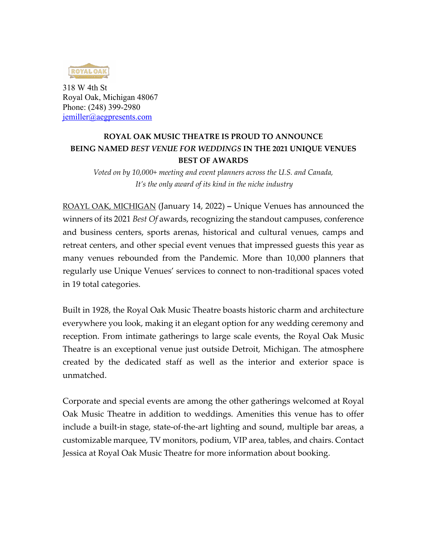

318 W 4th St Royal Oak, Michigan 48067 Phone: (248) 399-2980 jemiller@aegpresents.com

## **ROYAL OAK MUSIC THEATRE IS PROUD TO ANNOUNCE BEING NAMED** *BEST VENUE FOR WEDDINGS* **IN THE 2021 UNIQUE VENUES BEST OF AWARDS**

*Voted on by 10,000+ meeting and event planners across the U.S. and Canada, It's the only award of its kind in the niche industry*

ROAYL OAK, MICHIGAN (January 14, 2022) **–** Unique Venues has announced the winners of its 2021 *Best Of* awards, recognizing the standout campuses, conference and business centers, sports arenas, historical and cultural venues, camps and retreat centers, and other special event venues that impressed guests this year as many venues rebounded from the Pandemic. More than 10,000 planners that regularly use Unique Venues' services to connect to non-traditional spaces voted in 19 total categories.

Built in 1928, the Royal Oak Music Theatre boasts historic charm and architecture everywhere you look, making it an elegant option for any wedding ceremony and reception. From intimate gatherings to large scale events, the Royal Oak Music Theatre is an exceptional venue just outside Detroit, Michigan. The atmosphere created by the dedicated staff as well as the interior and exterior space is unmatched.

Corporate and special events are among the other gatherings welcomed at Royal Oak Music Theatre in addition to weddings. Amenities this venue has to offer include a built-in stage, state-of-the-art lighting and sound, multiple bar areas, a customizable marquee, TV monitors, podium, VIP area, tables, and chairs. Contact Jessica at Royal Oak Music Theatre for more information about booking.